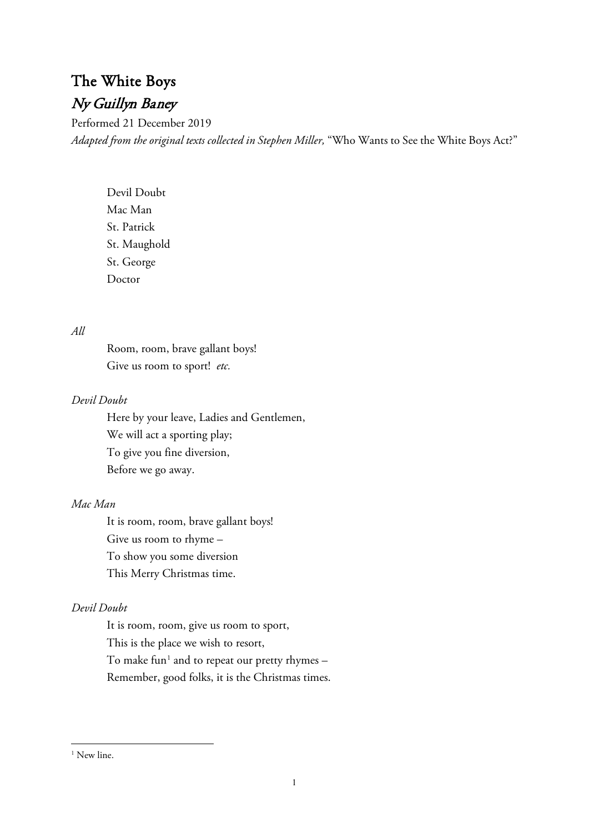# The White Boys Ny Guillyn Baney

Performed 21 December 2019 *Adapted from the original texts collected in Stephen Miller,* "Who Wants to See the White Boys Act?"

Devil Doubt Mac Man St. Patrick St. Maughold St. George Doctor

### *All*

Room, room, brave gallant boys! Give us room to sport! *etc.*

### *Devil Doubt*

Here by your leave, Ladies and Gentlemen, We will act a sporting play; To give you fine diversion, Before we go away.

# *Mac Man*

It is room, room, brave gallant boys! Give us room to rhyme – To show you some diversion This Merry Christmas time.

# *Devil Doubt*

It is room, room, give us room to sport, This is the place we wish to resort, To make fun<sup>[1](#page-0-0)</sup> and to repeat our pretty rhymes  $-$ Remember, good folks, it is the Christmas times.

<span id="page-0-0"></span><sup>&</sup>lt;sup>1</sup> New line.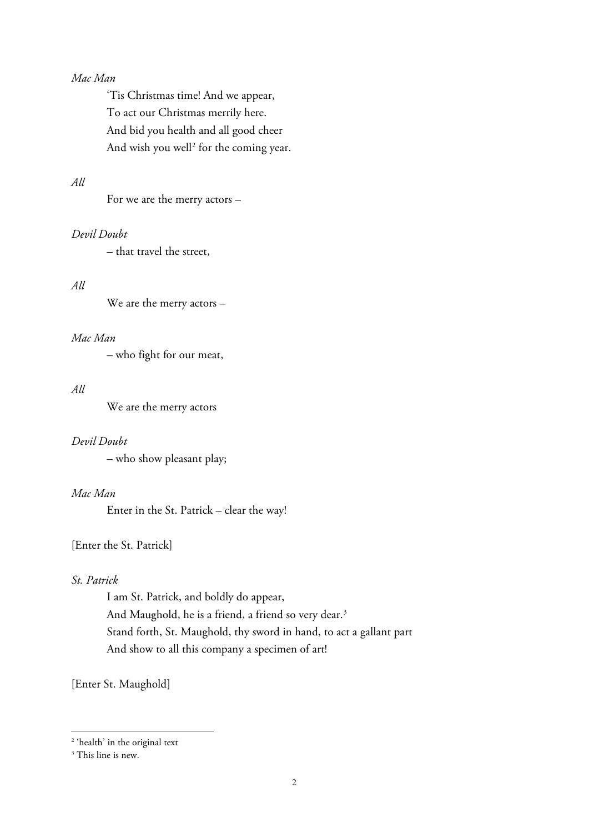### *Mac Man*

'Tis Christmas time! And we appear, To act our Christmas merrily here. And bid you health and all good cheer And wish you well<sup>[2](#page-1-0)</sup> for the coming year.

# *All*

For we are the merry actors –

# *Devil Doubt*

– that travel the street,

#### *All*

We are the merry actors –

### *Mac Man*

– who fight for our meat,

### *All*

We are the merry actors

#### *Devil Doubt*

– who show pleasant play;

# *Mac Man*

Enter in the St. Patrick – clear the way!

### [Enter the St. Patrick]

# *St. Patrick*

I am St. Patrick, and boldly do appear, And Maughold, he is a friend, a friend so very dear.<sup>[3](#page-1-1)</sup> Stand forth, St. Maughold, thy sword in hand, to act a gallant part And show to all this company a specimen of art!

[Enter St. Maughold]

<span id="page-1-0"></span><sup>2</sup> 'health' in the original text

<span id="page-1-1"></span><sup>&</sup>lt;sup>3</sup> This line is new.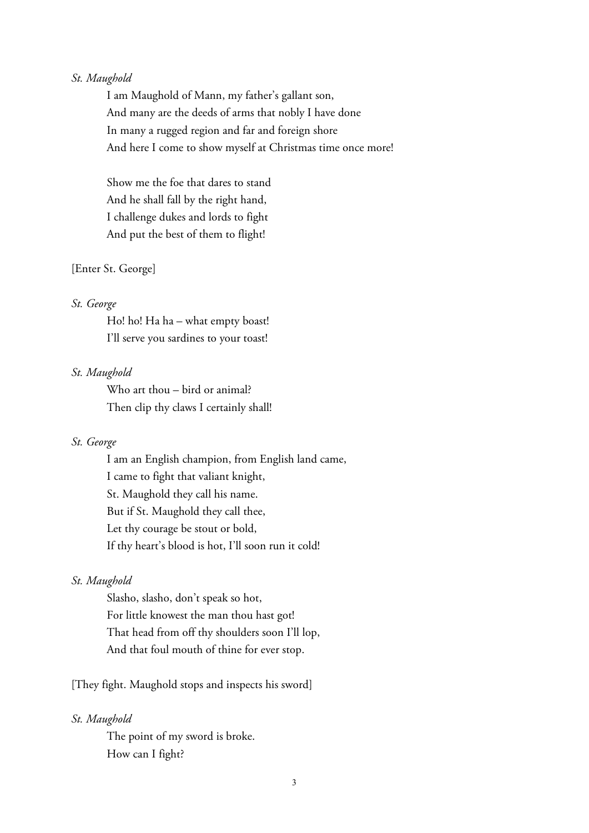### *St. Maughold*

I am Maughold of Mann, my father's gallant son, And many are the deeds of arms that nobly I have done In many a rugged region and far and foreign shore And here I come to show myself at Christmas time once more!

Show me the foe that dares to stand And he shall fall by the right hand, I challenge dukes and lords to fight And put the best of them to flight!

#### [Enter St. George]

#### *St. George*

Ho! ho! Ha ha – what empty boast! I'll serve you sardines to your toast!

#### *St. Maughold*

Who art thou – bird or animal? Then clip thy claws I certainly shall!

### *St. George*

I am an English champion, from English land came, I came to fight that valiant knight, St. Maughold they call his name. But if St. Maughold they call thee, Let thy courage be stout or bold, If thy heart's blood is hot, I'll soon run it cold!

### *St. Maughold*

Slasho, slasho, don't speak so hot, For little knowest the man thou hast got! That head from off thy shoulders soon I'll lop, And that foul mouth of thine for ever stop.

[They fight. Maughold stops and inspects his sword]

#### *St. Maughold*

The point of my sword is broke. How can I fight?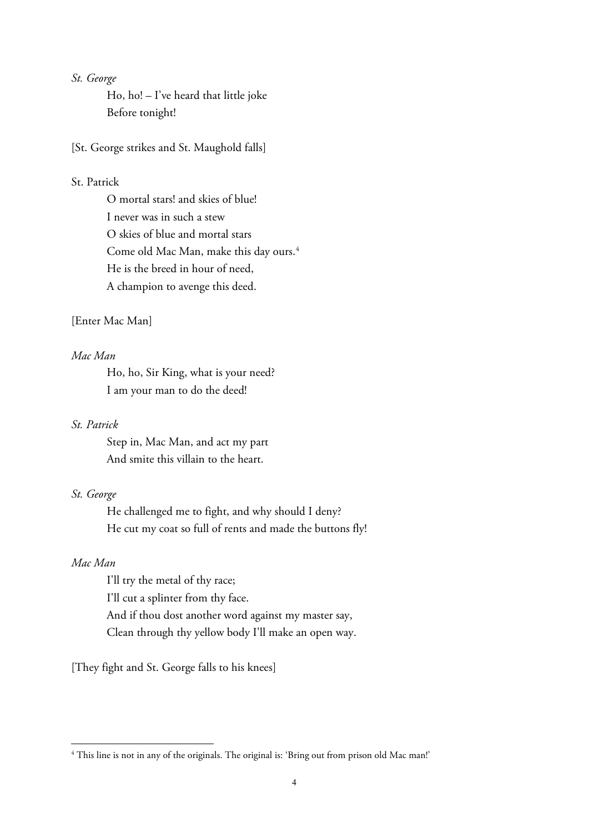### *St. George*

Ho, ho! – I've heard that little joke Before tonight!

[St. George strikes and St. Maughold falls]

### St. Patrick

O mortal stars! and skies of blue! I never was in such a stew O skies of blue and mortal stars Come old Mac Man, make this day ours.<sup>[4](#page-3-0)</sup> He is the breed in hour of need, A champion to avenge this deed.

### [Enter Mac Man]

### *Mac Man*

Ho, ho, Sir King, what is your need? I am your man to do the deed!

#### *St. Patrick*

Step in, Mac Man, and act my part And smite this villain to the heart.

### *St. George*

He challenged me to fight, and why should I deny? He cut my coat so full of rents and made the buttons fly!

### *Mac Man*

I'll try the metal of thy race; I'll cut a splinter from thy face. And if thou dost another word against my master say, Clean through thy yellow body I'll make an open way.

[They fight and St. George falls to his knees]

<span id="page-3-0"></span><sup>&</sup>lt;sup>4</sup> This line is not in any of the originals. The original is: 'Bring out from prison old Mac man!'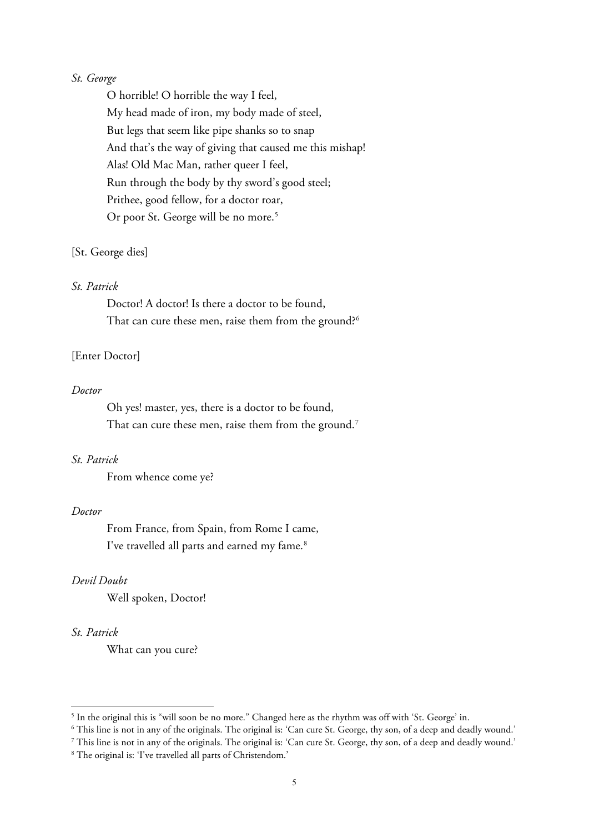### *St. George*

O horrible! O horrible the way I feel, My head made of iron, my body made of steel, But legs that seem like pipe shanks so to snap And that's the way of giving that caused me this mishap! Alas! Old Mac Man, rather queer I feel, Run through the body by thy sword's good steel; Prithee, good fellow, for a doctor roar, Or poor St. George will be no more.<sup>[5](#page-4-0)</sup>

#### [St. George dies]

#### *St. Patrick*

Doctor! A doctor! Is there a doctor to be found, That can cure these men, raise them from the ground?<sup>[6](#page-4-1)</sup>

### [Enter Doctor]

#### *Doctor*

Oh yes! master, yes, there is a doctor to be found, That can cure these men, raise them from the ground.<sup>[7](#page-4-2)</sup>

### *St. Patrick*

From whence come ye?

#### *Doctor*

From France, from Spain, from Rome I came, I've travelled all parts and earned my fame.<sup>[8](#page-4-3)</sup>

### *Devil Doubt*

Well spoken, Doctor!

### *St. Patrick*

What can you cure?

<span id="page-4-0"></span><sup>5</sup> In the original this is "will soon be no more." Changed here as the rhythm was off with 'St. George' in.

<span id="page-4-1"></span> $6$  This line is not in any of the originals. The original is: 'Can cure St. George, thy son, of a deep and deadly wound.'

<span id="page-4-2"></span><sup>7</sup> This line is not in any of the originals. The original is: 'Can cure St. George, thy son, of a deep and deadly wound.'

<span id="page-4-3"></span><sup>8</sup> The original is: 'I've travelled all parts of Christendom.'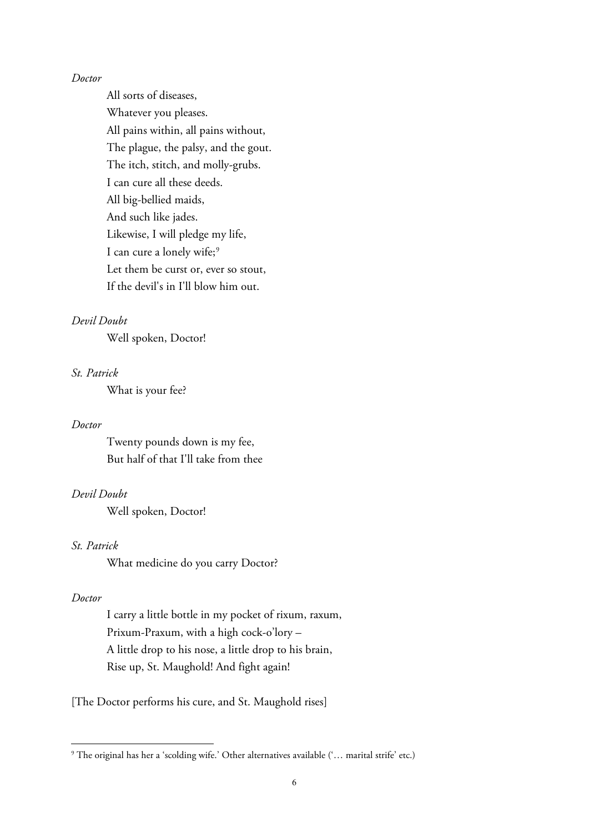#### *Doctor*

All sorts of diseases, Whatever you pleases. All pains within, all pains without, The plague, the palsy, and the gout. The itch, stitch, and molly-grubs. I can cure all these deeds. All big-bellied maids, And such like jades. Likewise, I will pledge my life, I can cure a lonely wife;<sup>[9](#page-5-0)</sup> Let them be curst or, ever so stout, If the devil's in I'll blow him out.

# *Devil Doubt*

Well spoken, Doctor!

### *St. Patrick*

What is your fee?

#### *Doctor*

Twenty pounds down is my fee, But half of that I'll take from thee

# *Devil Doubt*

Well spoken, Doctor!

# *St. Patrick*

What medicine do you carry Doctor?

### *Doctor*

I carry a little bottle in my pocket of rixum, raxum, Prixum-Praxum, with a high cock-o'lory – A little drop to his nose, a little drop to his brain, Rise up, St. Maughold! And fight again!

[The Doctor performs his cure, and St. Maughold rises]

<span id="page-5-0"></span><sup>9</sup> The original has her a 'scolding wife.' Other alternatives available ('… marital strife' etc.)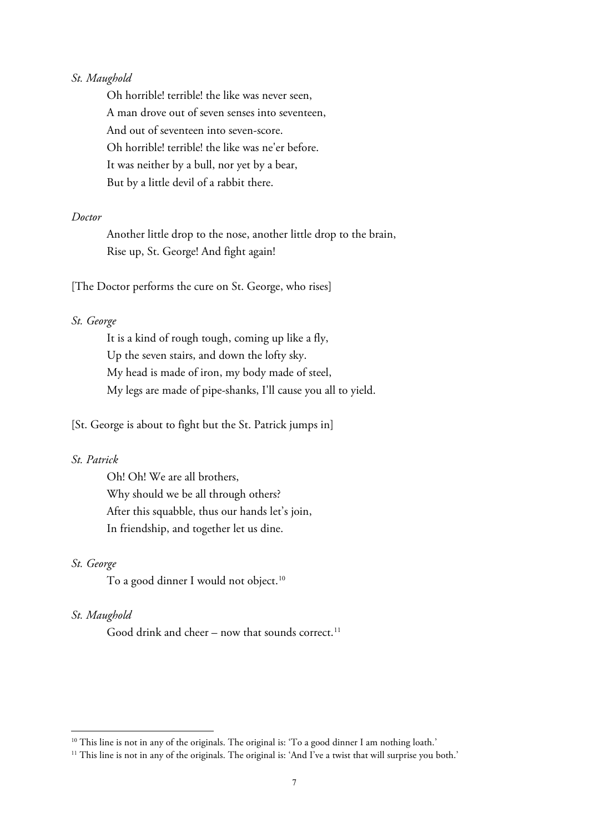### *St. Maughold*

Oh horrible! terrible! the like was never seen, A man drove out of seven senses into seventeen, And out of seventeen into seven-score. Oh horrible! terrible! the like was ne'er before. It was neither by a bull, nor yet by a bear, But by a little devil of a rabbit there.

#### *Doctor*

Another little drop to the nose, another little drop to the brain, Rise up, St. George! And fight again!

[The Doctor performs the cure on St. George, who rises]

### *St. George*

It is a kind of rough tough, coming up like a fly, Up the seven stairs, and down the lofty sky. My head is made of iron, my body made of steel, My legs are made of pipe-shanks, I'll cause you all to yield.

[St. George is about to fight but the St. Patrick jumps in]

### *St. Patrick*

Oh! Oh! We are all brothers, Why should we be all through others? After this squabble, thus our hands let's join, In friendship, and together let us dine.

#### *St. George*

To a good dinner I would not object.<sup>[10](#page-6-0)</sup>

### *St. Maughold*

Good drink and cheer – now that sounds correct.<sup>[11](#page-6-1)</sup>

<span id="page-6-0"></span><sup>&</sup>lt;sup>10</sup> This line is not in any of the originals. The original is: 'To a good dinner I am nothing loath.'

<span id="page-6-1"></span><sup>&</sup>lt;sup>11</sup> This line is not in any of the originals. The original is: 'And I've a twist that will surprise you both.'